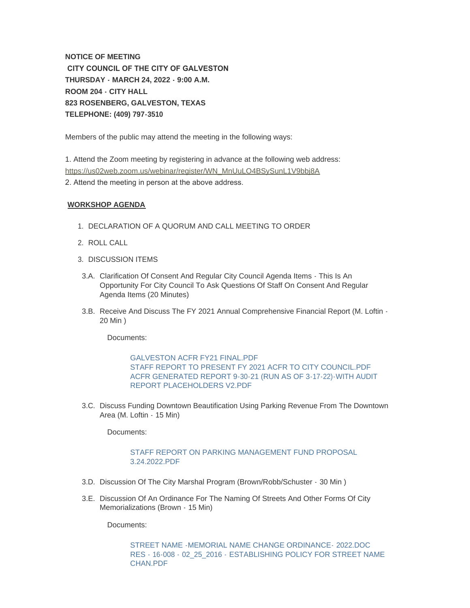**NOTICE OF MEETING CITY COUNCIL OF THE CITY OF GALVESTON THURSDAY - MARCH 24, 2022 - 9:00 A.M. ROOM 204 - CITY HALL 823 ROSENBERG, GALVESTON, TEXAS TELEPHONE: (409) 797-3510**

Members of the public may attend the meeting in the following ways:

[1. Attend the Zoom meeting by registering in advance at the following web ad](https://us02web.zoom.us/webinar/register/WN_MnUuLO4BSySunL1V9bbj8A)dress: https://us02web.zoom.us/webinar/register/WN\_MnUuLO4BSySunL1V9bbj8A 2. Attend the meeting in person at the above address.

## **WORKSHOP AGENDA**

- 1. DECLARATION OF A QUORUM AND CALL MEETING TO ORDER
- 2. ROLL CALL
- 3. DISCUSSION ITEMS
- 3.A. Clarification Of Consent And Regular City Council Agenda Items This Is An Opportunity For City Council To Ask Questions Of Staff On Consent And Regular Agenda Items (20 Minutes)
- 3.B. Receive And Discuss The FY 2021 Annual Comprehensive Financial Report (M. Loftin -20 Min )

Documents:

[GALVESTON ACFR FY21 FINAL.PDF](https://www.galvestontx.gov/AgendaCenter/ViewFile/Item/13925?fileID=32520) [STAFF REPORT TO PRESENT FY 2021 ACFR TO CITY COUNCIL.PDF](https://www.galvestontx.gov/AgendaCenter/ViewFile/Item/13925?fileID=32437) [ACFR GENERATED REPORT 9-30-21 \(RUN AS OF 3-17-22\)-WITH AUDIT](https://www.galvestontx.gov/AgendaCenter/ViewFile/Item/13925?fileID=32442)  REPORT PLACEHOLDERS V2.PDF

3.C. Discuss Funding Downtown Beautification Using Parking Revenue From The Downtown Area (M. Loftin - 15 Min)

Documents:

## [STAFF REPORT ON PARKING MANAGEMENT FUND PROPOSAL](https://www.galvestontx.gov/AgendaCenter/ViewFile/Item/13928?fileID=32420)  3.24.2022.PDF

- 3.D. Discussion Of The City Marshal Program (Brown/Robb/Schuster 30 Min)
- 3.E. Discussion Of An Ordinance For The Naming Of Streets And Other Forms Of City Memorializations (Brown - 15 Min)

Documents:

[STREET NAME -MEMORIAL NAME CHANGE ORDINANCE-](https://www.galvestontx.gov/AgendaCenter/ViewFile/Item/13855?fileID=32409) 2022.DOC RES - 16-008 - 02\_25\_2016 - [ESTABLISHING POLICY FOR STREET NAME](https://www.galvestontx.gov/AgendaCenter/ViewFile/Item/13855?fileID=32443)  CHAN.PDF